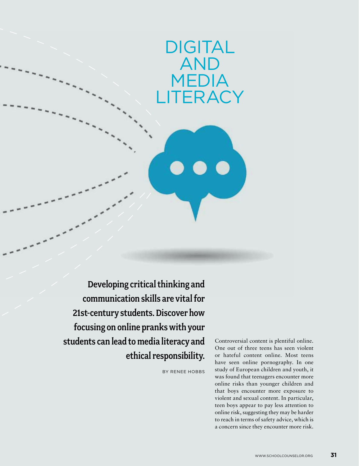# **DIGITAL**  $\overline{\mathsf{A}}$ ME **LITERACY**

Developing critical thinking and communication skills are vital for 21st-century students. Discover how focusing on online pranks with your students can lead to media literacy and ethical responsibility.

By Renee Hobbs

Controversial content is plentiful online. One out of three teens has seen violent or hateful content online. Most teens have seen online pornography. In one study of European children and youth, it was found that teenagers encounter more online risks than younger children and that boys encounter more exposure to violent and sexual content. In particular, teen boys appear to pay less attention to online risk, suggesting they may be harder to reach in terms of safety advice, which is a concern since they encounter more risk.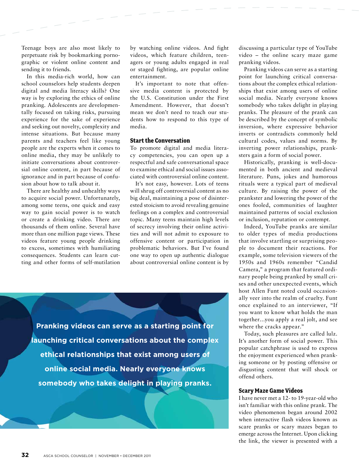Teenage boys are also most likely to perpetuate risk by bookmarking pornographic or violent online content and sending it to friends.

In this media-rich world, how can school counselors help students deepen digital and media literacy skills? One way is by exploring the ethics of online pranking. Adolescents are developmentally focused on taking risks, pursuing experience for the sake of experience and seeking out novelty, complexity and intense situations. But because many parents and teachers feel like young people are the experts when it comes to online media, they may be unlikely to initiate conversations about controversial online content, in part because of ignorance and in part because of confusion about how to talk about it.

There are healthy and unhealthy ways to acquire social power. Unfortunately, among some teens, one quick and easy way to gain social power is to watch or create a drinking video. There are thousands of them online. Several have more than one million page views. These videos feature young people drinking to excess, sometimes with humiliating consequences. Students can learn cutting and other forms of self-mutilation by watching online videos. And fight videos, which feature children, teenagers or young adults engaged in real or staged fighting, are popular online entertainment.

It's important to note that offensive media content is protected by the U.S. Constitution under the First Amendment. However, that doesn't mean we don't need to teach our students how to respond to this type of media.

### **Start the Conversation**

To promote digital and media literacy competencies, you can open up a respectful and safe conversational space to examine ethical and social issues associated with controversial online content.

It's not easy, however. Lots of teens will shrug off controversial content as no big deal, maintaining a pose of disinterested stoicism to avoid revealing genuine feelings on a complex and controversial topic. Many teens maintain high levels of secrecy involving their online activities and will not admit to exposure to offensive content or participation in problematic behaviors. But I've found one way to open up authentic dialogue about controversial online content is by

**Pranking videos can serve as a starting point for launching critical conversations about the complex ethical relationships that exist among users of online social media. Nearly everyone knows somebody who takes delight in playing pranks.**

discussing a particular type of YouTube video – the online scary maze game pranking videos.

Pranking videos can serve as a starting point for launching critical conversations about the complex ethical relationships that exist among users of online social media. Nearly everyone knows somebody who takes delight in playing pranks. The pleasure of the prank can be described by the concept of symbolic inversion, where expressive behavior inverts or contradicts commonly held cultural codes, values and norms. By inverting power relationships, pranksters gain a form of social power.

Historically, pranking is well-documented in both ancient and medieval literature. Puns, jokes and humorous rituals were a typical part of medieval culture. By raising the power of the prankster and lowering the power of the ones fooled, communities of laughter maintained patterns of social exclusion or inclusion, reputation or contempt.

Indeed, YouTube pranks are similar to older types of media productions that involve startling or surprising people to document their reactions. For example, some television viewers of the 1950s and 1960s remember "Candid Camera," a program that featured ordinary people being pranked by small crises and other unexpected events, which host Allen Funt noted could occasionally veer into the realm of cruelty. Funt once explained to an interviewer, "If you want to know what holds the man together…you apply a real jolt, and see where the cracks appear."

Today, such pleasures are called lulz. It's another form of social power. This popular catchphrase is used to express the enjoyment experienced when pranking someone or by posting offensive or disgusting content that will shock or offend others.

### **Scary Maze Game Videos**

I have never met a 12- to 19-year-old who isn't familiar with this online prank. The video phenomenon began around 2002 when interactive flash videos known as scare pranks or scary mazes began to emerge across the Internet. Upon clicking the link, the viewer is presented with a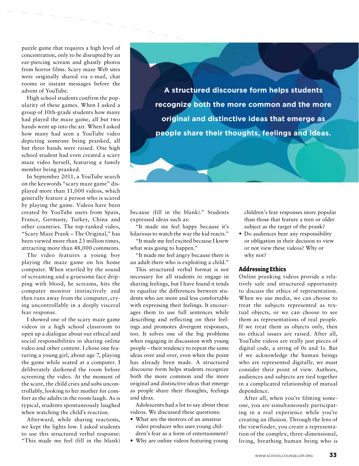puzzle game that requires a high level of concentration, only to be disrupted by an ear-piercing scream and ghastly photos from horror films. Scary maze Web sites were originally shared via e-mail, chat rooms or instant messages before the advent of YouTube.

High school students confirm the popularity of these games. When I asked a group of 10th-grade students how many had played the maze game, all but two hands went up into the air. When I asked how many had seen a YouTube video depicting someone being pranked, all but three hands were raised. One high school student had even created a scary maze video herself, featuring a family member being pranked.

In September 2011, a YouTube search on the keywords "scary maze game" displayed more than 11,000 videos, which generally feature a person who is scared by playing the game. Videos have been created by YouTube users from Spain, France, Germany, Turkey, China and other countries. The top-ranked video, "Scary Maze Prank – The Original," has been viewed more than 23 million times, attracting more than 48,000 comments.

The video features a young boy playing the maze game on his home computer. When startled by the sound of screaming and a gruesome face dripping with blood, he screams, hits the computer monitor instinctively and then runs away from the computer, crying uncontrollably in a deeply visceral fear response.

I showed one of the scary maze game videos in a high school classroom to open up a dialogue about our ethical and social responsibilities in sharing online video and other content. I chose one featuring a young girl, about age 7, playing the game while seated at a computer. I deliberately darkened the room before screening the video. At the moment of the scare, the child cries and sobs uncontrollably, looking to her mother for comfort as the adults in the room laugh. As is typical, students spontaneously laughed when watching the child's reaction.

Afterward, while sharing reactions, we kept the lights low. I asked students to use this structured verbal response: "This made me feel (fill in the blank)

**A structured discourse form helps students recognize both the more common and the more original and distinctive ideas that emerge as people share their thoughts, feelings and ideas.** 

because (fill in the blank)." Students expressed ideas such as:

"It made me feel happy because it's hilarious to watch the way the kid reacts."

"It made me feel excited because I knew what was going to happen."

"It made me feel angry because there is an adult there who is exploiting a child."

This structured verbal format is not necessary for all students to engage in sharing feelings, but I have found it tends to equalize the differences between students who are more and less comfortable with expressing their feelings. It encourages them to use full sentences while describing and reflecting on their feelings and promotes divergent responses, too. It solves one of the big problems when engaging in discussion with young people – their tendency to repeat the same ideas over and over, even when the point has already been made. A structured discourse form helps students recognize both the more common and the more original and distinctive ideas that emerge as people share their thoughts, feelings and ideas.

Adolescents had a lot to say about these videos. We discussed these questions:

- What are the motives of an amateur video producer who uses young children's fear as a form of entertainment?
- Why are online videos featuring young

children's fear responses more popular than those that feature a teen or older subject as the target of the prank?

• Do audiences bear any responsibility or obligation in their decision to view or not view these videos? Why or why not?

### **Addressing Ethics**

Online pranking videos provide a relatively safe and structured opportunity to discuss the ethics of representation. When we use media, we can choose to treat the subjects represented as textual objects, or we can choose to see them as representations of real people. If we treat them as objects only, then no ethical issues are raised. After all, YouTube videos are really just pieces of digital code, a string of 0s and 1s. But if we acknowledge the human beings who are represented digitally, we must consider their point of view. Authors, audiences and subjects are tied together in a complicated relationship of mutual dependence.

After all, when you're filming someone, you are simultaneously participating in a real experience while you're creating an illusion. Through the lens of the viewfinder, you create a representation of the complex, three-dimensional, living, breathing human being who is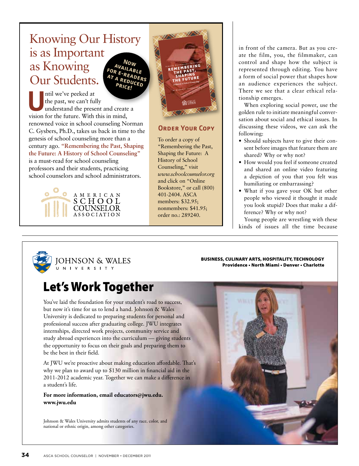### Knowing Our History is as Important as Knowing Our Students. **Now available for e-readers AT A REDUCED**

ntil we've peeked at the past, we can't fully understand the present and create a Intil we've peeked at<br>the past, we can't fully<br>understand the present and create<br>vision for the future. With this in mind, renowned voice in school counseling Norman C. Gysbers, Ph.D., takes us back in time to the genesis of school counseling more than a century ago. **"Remembering the Past, Shaping the Future: A History of School Counseling"** is a must-read for school counseling professors and their students, practicing school counselors and school administrators.





### **ORDER YOUR COPY**

To order a copy of "Remembering the Past, Shaping the Future: A History of School Counseling," visit *www.schoolcounselor.org* and click on "Online Bookstore," or call (800) 401-2404. ASCA members: \$32.95; nonmembers: \$41.95; order no.: 289240.

in front of the camera. But as you create the film, you, the filmmaker, can control and shape how the subject is represented through editing. You have a form of social power that shapes how an audience experiences the subject. There we see that a clear ethical relationship emerges.

When exploring social power, use the golden rule to initiate meaningful conversation about social and ethical issues. In discussing these videos, we can ask the following:

- Should subjects have to give their consent before images that feature them are shared? Why or why not?
- How would you feel if someone created and shared an online video featuring a depiction of you that you felt was humiliating or embarrassing?
- What if you gave your OK but other people who viewed it thought it made you look stupid? Does that make a difference? Why or why not?

Young people are wrestling with these kinds of issues all the time because



**IOHNSON & WALES** U N I V E R S I T Y

Business, Culinary arts, Hospitality, teCHnology providence • north Miami • Denver • Charlotte

# **Let's Work Together**

You've laid the foundation for your student's road to success, but now it's time for us to lend a hand. Johnson & Wales University is dedicated to preparing students for personal and professional success after graduating college. JWU integrates internships, directed work projects, community service and study abroad experiences into the curriculum — giving students the opportunity to focus on their goals and preparing them to be the best in their field.

At JWU we're proactive about making education affordable. That's why we plan to award up to \$130 million in financial aid in the 2011-2012 academic year. Together we can make a difference in a student's life.

**For more information, email educators@jwu.edu. www.jwu.edu**

Johnson & Wales University admits students of any race, color, and national or ethnic origin, among other categories.